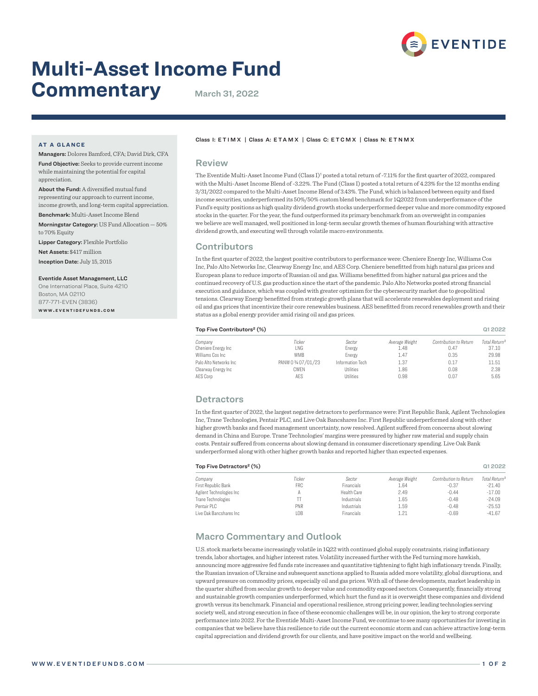

# **Multi-Asset Income Fund Commentary** March 31, 2022

# **AT A GLANCE**

appreciation.

Managers: Dolores Bamford, CFA; David Dirk, CFA Fund Objective: Seeks to provide current income while maintaining the potential for capital

About the Fund: A diversified mutual fund representing our approach to current income, income growth, and long-term capital appreciation. Benchmark: Multi-Asset Income Blend

Morningstar Category: US Fund Allocation — 50% to 70% Equity

Lipper Category: Flexible Portfolio

Net Assets: \$417 million

Inception Date: July 15, 2015

#### Eventide Asset Management, LLC

One International Place, Suite 4210 Boston, MA 02110 877-771-EVEN (3836) **w w w . e v e n t i d e f u n d s . c o m**

#### Class I: ETIMX | Class A: ETAMX | Class C: ETCMX | Class N: ETNMX

### Review

The Eventide Multi-Asset Income Fund (Class I)<sup>1</sup> posted a total return of -7.11% for the first quarter of 2022, compared with the Multi-Asset Income Blend of -3.22%. The Fund (Class I) posted a total return of 4.23% for the 12 months ending 3/31/2022 compared to the Multi-Asset Income Blend of 3.43%. The Fund, which is balanced between equity and fixed income securities, underperformed its 50%/50% custom blend benchmark for 1Q2022 from underperformance of the Fund's equity positions as high quality dividend growth stocks underperformed deeper value and more commodity exposed stocks in the quarter. For the year, the fund outperformed its primary benchmark from an overweight in companies we believe are well managed, well positioned in long-term secular growth themes of human flourishing with attractive dividend growth, and executing well through volatile macro environments.

## **Contributors**

In the first quarter of 2022, the largest positive contributors to performance were: Cheniere Energy Inc, Williams Cos Inc, Palo Alto Networks Inc, Clearway Energy Inc, and AES Corp. Cheniere benefitted from high natural gas prices and European plans to reduce imports of Russian oil and gas. Williams benefitted from higher natural gas prices and the continued recovery of U.S. gas production since the start of the pandemic. Palo Alto Networks posted strong financial execution and guidance, which was coupled with greater optimism for the cybersecurity market due to geopolitical tensions. Clearway Energy benefitted from strategic growth plans that will accelerate renewables deployment and rising oil and gas prices that incentivize their core renewables business. AES benefitted from record renewables growth and their status as a global energy provider amid rising oil and gas prices.

#### Top Five Contributors² (%) Q1 2022

| Company                 | Ticker              | Sector           | Average Weight | Contribution to Return | Total Return <sup>3</sup> |
|-------------------------|---------------------|------------------|----------------|------------------------|---------------------------|
| Cheniere Energy Inc     | LNG                 | Energy           | 1.48           | 0.47                   | 37.10                     |
| Williams Cos Inc        | <b>WMB</b>          | Energy           | 1.47           | 0.35                   | 29.98                     |
| Palo Alto Networks Inc. | PANW 0 3/4 07/01/23 | Information Tech | 1.37           | 0.17                   | 11.51                     |
| Clearway Energy Inc     | CWEN                | <b>Utilities</b> | 1.86           | 0.08                   | 2.38                      |
| AES Corp                | AES                 | <b>Utilities</b> | 0.98           | 0.07                   | 5.65                      |

## **Detractors**

In the first quarter of 2022, the largest negative detractors to performance were: First Republic Bank, Agilent Technologies Inc, Trane Technologies, Pentair PLC, and Live Oak Bancshares Inc. First Republic underperformed along with other higher growth banks and faced management uncertainty, now resolved. Agilent suffered from concerns about slowing demand in China and Europe. Trane Technologies' margins were pressured by higher raw material and supply chain costs. Pentair suffered from concerns about slowing demand in consumer discretionary spending. Live Oak Bank underperformed along with other higher growth banks and reported higher than expected expenses.

| Top Five Detractors <sup>2</sup> (%) | Q1 2022    |             |                |                        |                           |
|--------------------------------------|------------|-------------|----------------|------------------------|---------------------------|
| Company                              | Ticker     | Sector      | Average Weight | Contribution to Return | Total Return <sup>3</sup> |
| First Republic Bank                  | FRC.       | Financials  | 1.64           | $-0.37$                | $-21.40$                  |
| Agilent Technologies Inc             |            | Health Care | 2.49           | $-0.44$                | $-17.00$                  |
| Trane Technologies                   |            | Industrials | 1.65           | $-0.48$                | $-24.09$                  |
| Pentair PLC                          | <b>PNR</b> | Industrials | 1.59           | $-0.48$                | $-25.53$                  |
| Live Oak Bancshares Inc.             | l OB       | Financials  | 1.21           | $-0.69$                | $-41.67$                  |

# Macro Commentary and Outlook

U.S. stock markets became increasingly volatile in 1Q22 with continued global supply constraints, rising inflationary trends, labor shortages, and higher interest rates. Volatility increased further with the Fed turning more hawkish, announcing more aggressive fed funds rate increases and quantitative tightening to fight high inflationary trends. Finally, the Russian invasion of Ukraine and subsequent sanctions applied to Russia added more volatility, global disruptions, and upward pressure on commodity prices, especially oil and gas prices. With all of these developments, market leadership in the quarter shifted from secular growth to deeper value and commodity exposed sectors. Consequently, financially strong and sustainable growth companies underperformed, which hurt the fund as it is overweight these companies and dividend growth versus its benchmark. Financial and operational resilience, strong pricing power, leading technologies serving society well, and strong execution in face of these economic challenges will be, in our opinion, the key to strong corporate performance into 2022. For the Eventide Multi-Asset Income Fund, we continue to see many opportunities for investing in companies that we believe have this resilience to ride out the current economic storm and can achieve attractive long-term capital appreciation and dividend growth for our clients, and have positive impact on the world and wellbeing.